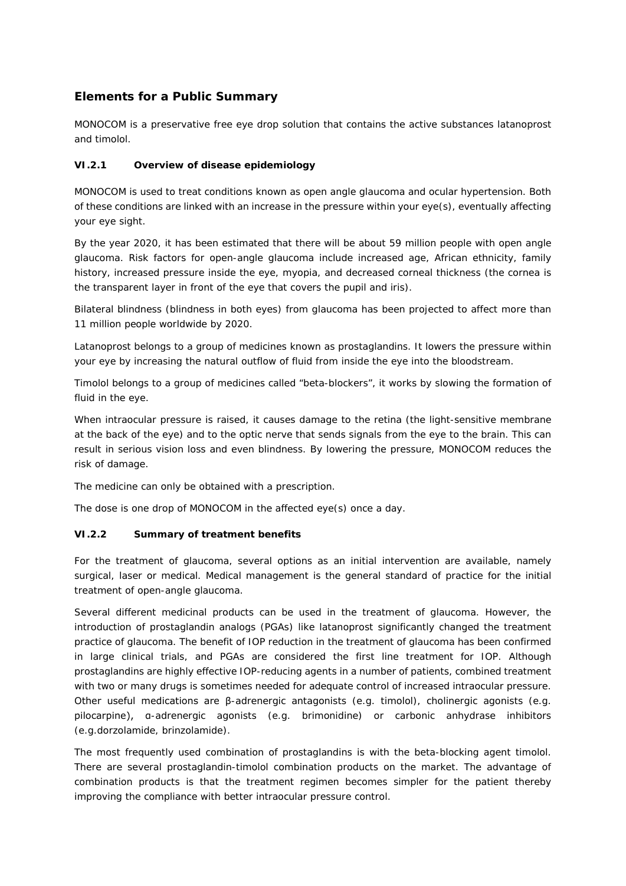# **Elements for a Public Summary**

MONOCOM is a preservative free eye drop solution that contains the active substances latanoprost and timolol.

## *VI.2.1 Overview of disease epidemiology*

MONOCOM is used to treat conditions known as open angle glaucoma and ocular hypertension. Both of these conditions are linked with an increase in the pressure within your eye(s), eventually affecting your eye sight.

By the year 2020, it has been estimated that there will be about 59 million people with open angle glaucoma. Risk factors for open-angle glaucoma include increased age, African ethnicity, family history, increased pressure inside the eye, myopia, and decreased corneal thickness (the cornea is the transparent layer in front of the eye that covers the pupil and iris).

Bilateral blindness (blindness in both eyes) from glaucoma has been projected to affect more than 11 million people worldwide by 2020.

Latanoprost belongs *to* a group of medicines known as prostaglandins. It lowers the pressure within your eye by increasing the natural outflow of fluid from inside the eye into the bloodstream.

Timolol belongs to a group of medicines called "beta-blockers", it works by slowing the formation of fluid in the eye.

When intraocular pressure is raised, it causes damage to the retina (the light-sensitive membrane at the back of the eye) and to the optic nerve that sends signals from the eye to the brain. This can result in serious vision loss and even blindness. By lowering the pressure, MONOCOM reduces the risk of damage.

The medicine can only be obtained with a prescription.

The dose is one drop of MONOCOM in the affected eye(s) once a day.

### *VI.2.2 Summary of treatment benefits*

For the treatment of glaucoma, several options as an initial intervention are available, namely surgical, laser or medical. Medical management is the general standard of practice for the initial treatment of open-angle glaucoma.

Several different medicinal products can be used in the treatment of glaucoma. However, the introduction of prostaglandin analogs (PGAs) like latanoprost significantly changed the treatment practice of glaucoma. The benefit of IOP reduction in the treatment of glaucoma has been confirmed in large clinical trials, and PGAs are considered the first line treatment for IOP. Although prostaglandins are highly effective IOP-reducing agents in a number of patients, combined treatment with two or many drugs is sometimes needed for adequate control of increased intraocular pressure. Other useful medications are β-adrenergic antagonists (e.g. timolol), cholinergic agonists (e.g. pilocarpine), α-adrenergic agonists (e.g. brimonidine) or carbonic anhydrase inhibitors (e.g.dorzolamide, brinzolamide).

The most frequently used combination of prostaglandins is with the beta-blocking agent timolol. There are several prostaglandin-timolol combination products on the market. The advantage of combination products is that the treatment regimen becomes simpler for the patient thereby improving the compliance with better intraocular pressure control.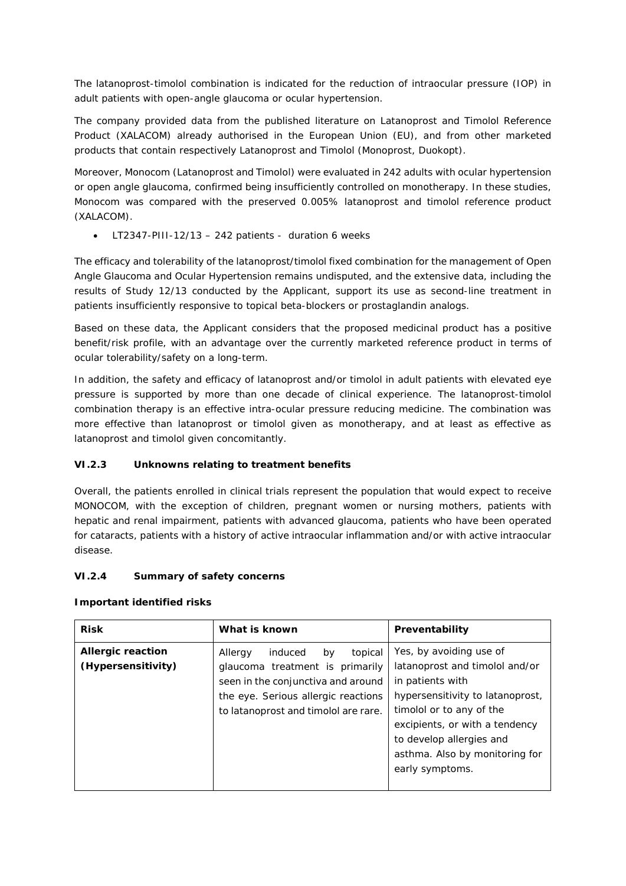The latanoprost-timolol combination is indicated for the reduction of intraocular pressure (IOP) in adult patients with open-angle glaucoma or ocular hypertension.

The company provided data from the published literature on Latanoprost and Timolol Reference Product (XALACOM) already authorised in the European Union (EU), and from other marketed products that contain respectively Latanoprost and Timolol (Monoprost, Duokopt).

Moreover, Monocom (Latanoprost and Timolol) were evaluated in 242 adults with ocular hypertension or open angle glaucoma, confirmed being insufficiently controlled on monotherapy. In these studies, Monocom was compared with the preserved 0.005% latanoprost and timolol reference product (XALACOM).

• LT2347-PIII-12/13 – 242 patients - duration 6 weeks

The efficacy and tolerability of the latanoprost/timolol fixed combination for the management of Open Angle Glaucoma and Ocular Hypertension remains undisputed, and the extensive data, including the results of Study 12/13 conducted by the Applicant, support its use as second-line treatment in patients insufficiently responsive to topical beta-blockers or prostaglandin analogs.

Based on these data, the Applicant considers that the proposed medicinal product has a positive benefit/risk profile, with an advantage over the currently marketed reference product in terms of ocular tolerability/safety on a long-term.

In addition, the safety and efficacy of latanoprost and/or timolol in adult patients with elevated eye pressure is supported by more than one decade of clinical experience. The latanoprost-timolol combination therapy is an effective intra-ocular pressure reducing medicine. The combination was more effective than latanoprost or timolol given as monotherapy, and at least as effective as latanoprost and timolol given concomitantly.

# *VI.2.3 Unknowns relating to treatment benefits*

Overall, the patients enrolled in clinical trials represent the population that would expect to receive MONOCOM, with the exception of children, pregnant women or nursing mothers, patients with hepatic and renal impairment, patients with advanced glaucoma, patients who have been operated for cataracts, patients with a history of active intraocular inflammation and/or with active intraocular disease.

### *VI.2.4 Summary of safety concerns*

#### **Important identified risks**

| <b>Risk</b>                                           | What is known<br>Preventability      |                                  |  |  |
|-------------------------------------------------------|--------------------------------------|----------------------------------|--|--|
| <b>Allergic reaction</b>                              | induced<br>Allergy<br>topical<br>by  | Yes, by avoiding use of          |  |  |
| (Hypersensitivity)<br>glaucoma treatment is primarily | latanoprost and timolol and/or       |                                  |  |  |
|                                                       | seen in the conjunctiva and around   | in patients with                 |  |  |
|                                                       | the eye. Serious allergic reactions  | hypersensitivity to latanoprost, |  |  |
|                                                       | to latanoprost and timolol are rare. | timolol or to any of the         |  |  |
|                                                       |                                      | excipients, or with a tendency   |  |  |
|                                                       |                                      | to develop allergies and         |  |  |
|                                                       |                                      | asthma. Also by monitoring for   |  |  |
|                                                       |                                      | early symptoms.                  |  |  |
|                                                       |                                      |                                  |  |  |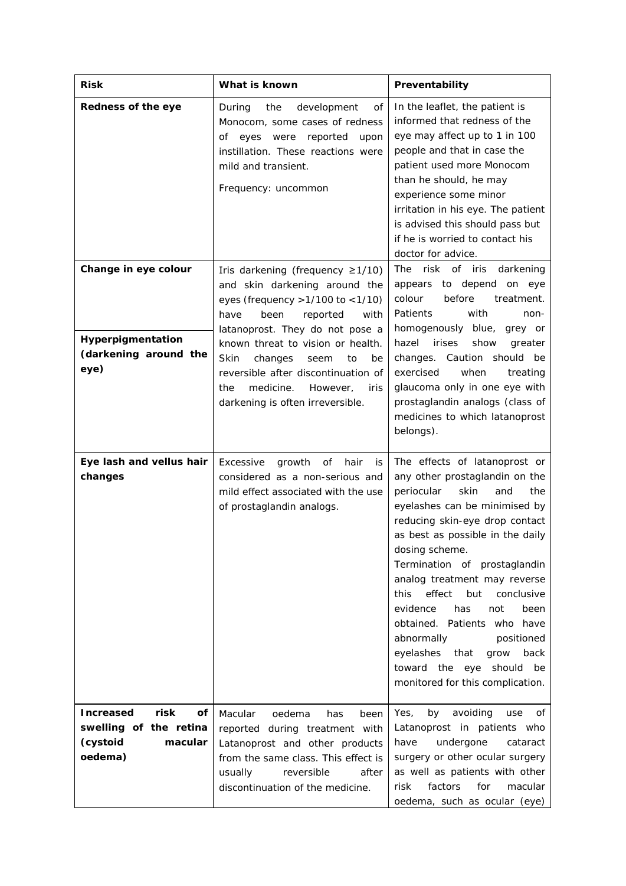| <b>Risk</b>                                                                                | What is known                                                                                                                                                                                                     | Preventability                                                                                                                                                                                                                                                                                                                                                                                                                                                                                                                        |  |
|--------------------------------------------------------------------------------------------|-------------------------------------------------------------------------------------------------------------------------------------------------------------------------------------------------------------------|---------------------------------------------------------------------------------------------------------------------------------------------------------------------------------------------------------------------------------------------------------------------------------------------------------------------------------------------------------------------------------------------------------------------------------------------------------------------------------------------------------------------------------------|--|
| Redness of the eye                                                                         | During<br>the<br>development<br>οf<br>Monocom, some cases of redness<br>eyes<br>were<br>reported<br>upon<br>οf<br>instillation. These reactions were<br>mild and transient.<br>Frequency: uncommon                | In the leaflet, the patient is<br>informed that redness of the<br>eye may affect up to 1 in 100<br>people and that in case the<br>patient used more Monocom<br>than he should, he may<br>experience some minor<br>irritation in his eye. The patient<br>is advised this should pass but<br>if he is worried to contact his<br>doctor for advice.                                                                                                                                                                                      |  |
| Change in eye colour<br>Hyperpigmentation                                                  | Iris darkening (frequency $\geq 1/10$ )<br>and skin darkening around the<br>eyes (frequency $>1/100$ to $<1/10$ )<br>have<br>been<br>reported<br>with<br>latanoprost. They do not pose a                          | risk of iris<br>darkening<br>The<br>appears to depend on eye<br>colour<br>before<br>treatment.<br>with<br>Patients<br>non-<br>homogenously blue,<br>grey or                                                                                                                                                                                                                                                                                                                                                                           |  |
| (darkening around the<br>eye)                                                              | known threat to vision or health.<br>Skin<br>changes<br>to<br>be<br>seem<br>reversible after discontinuation of<br>medicine.<br>However,<br>the<br>iris<br>darkening is often irreversible.                       | hazel<br>irises<br>show<br>greater<br>Caution should be<br>changes.<br>when<br>exercised<br>treating<br>glaucoma only in one eye with<br>prostaglandin analogs (class of<br>medicines to which latanoprost<br>belongs).                                                                                                                                                                                                                                                                                                               |  |
| Eye lash and vellus hair<br>changes                                                        | Excessive<br>growth<br>of<br>hair<br>is<br>considered as a non-serious and<br>mild effect associated with the use<br>of prostaglandin analogs.                                                                    | The effects of latanoprost or<br>any other prostaglandin on the<br>periocular<br>skin<br>and<br>the<br>eyelashes can be minimised by<br>reducing skin-eye drop contact<br>as best as possible in the daily<br>dosing scheme.<br>Termination of prostaglandin<br>analog treatment may reverse<br>effect<br>but<br>this<br>conclusive<br>has<br>evidence<br>not<br>been<br>obtained. Patients who have<br>abnormally<br>positioned<br>eyelashes<br>that<br>grow<br>back<br>toward the eye should be<br>monitored for this complication. |  |
| <b>Increased</b><br>risk<br>Οf<br>swelling of the retina<br>(cystoid<br>macular<br>oedema) | Macular<br>oedema<br>has<br>been<br>reported during treatment with<br>Latanoprost and other products<br>from the same class. This effect is<br>usually<br>reversible<br>after<br>discontinuation of the medicine. | avoiding<br>Yes,<br>by<br>use<br>οf<br>Latanoprost in patients who<br>have<br>undergone<br>cataract<br>surgery or other ocular surgery<br>as well as patients with other<br>factors<br>for<br>risk<br>macular<br>oedema, such as ocular (eye)                                                                                                                                                                                                                                                                                         |  |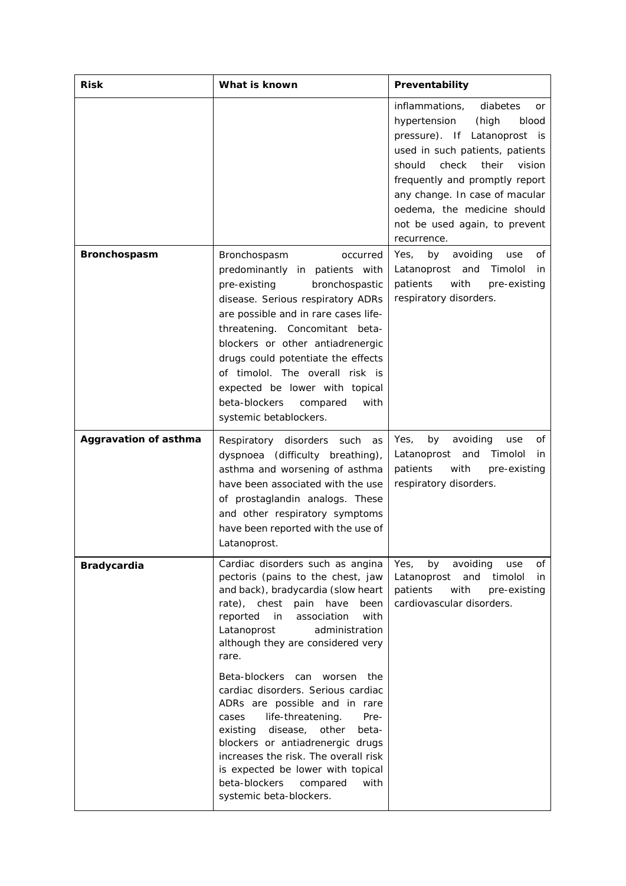| <b>Risk</b>                  | What is known                                                                                                                                                                                                                                                                                                                                                                                                                                                                                                                                                                                                                                       | Preventability                                                                                                                                                                                                                                                                                                                 |
|------------------------------|-----------------------------------------------------------------------------------------------------------------------------------------------------------------------------------------------------------------------------------------------------------------------------------------------------------------------------------------------------------------------------------------------------------------------------------------------------------------------------------------------------------------------------------------------------------------------------------------------------------------------------------------------------|--------------------------------------------------------------------------------------------------------------------------------------------------------------------------------------------------------------------------------------------------------------------------------------------------------------------------------|
|                              |                                                                                                                                                                                                                                                                                                                                                                                                                                                                                                                                                                                                                                                     | inflammations,<br>diabetes<br>or<br>hypertension<br>(high<br>blood<br>pressure). If Latanoprost is<br>used in such patients, patients<br>should<br>check<br>their<br>vision<br>frequently and promptly report<br>any change. In case of macular<br>oedema, the medicine should<br>not be used again, to prevent<br>recurrence. |
| <b>Bronchospasm</b>          | Bronchospasm<br>occurred<br>predominantly in patients with<br>pre-existing<br>bronchospastic<br>disease. Serious respiratory ADRs<br>are possible and in rare cases life-<br>threatening. Concomitant beta-<br>blockers or other antiadrenergic<br>drugs could potentiate the effects<br>of timolol. The overall risk is<br>expected be lower with topical<br>beta-blockers<br>with<br>compared<br>systemic betablockers.                                                                                                                                                                                                                           | by<br>avoiding<br>Yes,<br>use<br>οf<br>Latanoprost and<br>Timolol<br>in.<br>patients<br>with<br>pre-existing<br>respiratory disorders.                                                                                                                                                                                         |
| <b>Aggravation of asthma</b> | Respiratory disorders such<br>as<br>dyspnoea (difficulty breathing),<br>asthma and worsening of asthma<br>have been associated with the use<br>of prostaglandin analogs. These<br>and other respiratory symptoms<br>have been reported with the use of<br>Latanoprost.                                                                                                                                                                                                                                                                                                                                                                              | by<br>avoiding<br>οf<br>Yes,<br>use<br>Latanoprost<br>and<br>Timolol<br>in<br>patients<br>with<br>pre-existing<br>respiratory disorders.                                                                                                                                                                                       |
| <b>Bradycardia</b>           | Cardiac disorders such as angina<br>pectoris (pains to the chest, jaw<br>and back), bradycardia (slow heart<br>rate), chest pain have<br>been<br>association<br>reported<br>in in<br>with<br>administration<br>Latanoprost<br>although they are considered very<br>rare.<br>Beta-blockers can worsen<br>the<br>cardiac disorders. Serious cardiac<br>ADRs are possible and in rare<br>life-threatening.<br>Pre-<br>cases<br>disease,<br>other<br>existing<br>beta-<br>blockers or antiadrenergic drugs<br>increases the risk. The overall risk<br>is expected be lower with topical<br>beta-blockers<br>compared<br>with<br>systemic beta-blockers. | Yes,<br>by<br>avoiding<br>of<br>use<br>Latanoprost<br>and<br>timolol<br>in<br>patients<br>with<br>pre-existing<br>cardiovascular disorders.                                                                                                                                                                                    |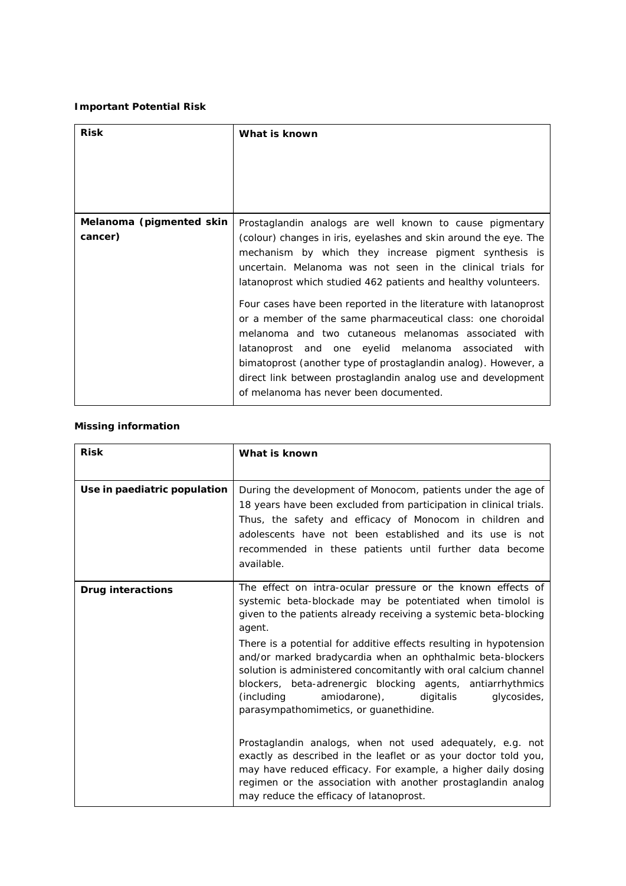## **Important Potential Risk**

| <b>Risk</b>              | What is known                                                                                                             |  |  |  |  |
|--------------------------|---------------------------------------------------------------------------------------------------------------------------|--|--|--|--|
|                          |                                                                                                                           |  |  |  |  |
|                          |                                                                                                                           |  |  |  |  |
|                          |                                                                                                                           |  |  |  |  |
| Melanoma (pigmented skin | Prostaglandin analogs are well known to cause pigmentary                                                                  |  |  |  |  |
| cancer)                  | (colour) changes in iris, eyelashes and skin around the eye. The<br>mechanism by which they increase pigment synthesis is |  |  |  |  |
|                          | uncertain. Melanoma was not seen in the clinical trials for                                                               |  |  |  |  |
|                          | latanoprost which studied 462 patients and healthy volunteers.                                                            |  |  |  |  |
|                          | Four cases have been reported in the literature with latanoprost                                                          |  |  |  |  |
|                          | or a member of the same pharmaceutical class: one choroidal                                                               |  |  |  |  |
|                          | melanoma and two cutaneous melanomas associated with                                                                      |  |  |  |  |
|                          | latanoprost and one eyelid melanoma associated<br>with<br>bimatoprost (another type of prostaglandin analog). However, a  |  |  |  |  |
|                          | direct link between prostaglandin analog use and development                                                              |  |  |  |  |
|                          | of melanoma has never been documented.                                                                                    |  |  |  |  |

## **Missing information**

| <b>Risk</b>                  | What is known                                                                                                                                                                                                                                                                                                                                                                                                                                                                                                                                                                     |
|------------------------------|-----------------------------------------------------------------------------------------------------------------------------------------------------------------------------------------------------------------------------------------------------------------------------------------------------------------------------------------------------------------------------------------------------------------------------------------------------------------------------------------------------------------------------------------------------------------------------------|
| Use in paediatric population | During the development of Monocom, patients under the age of<br>18 years have been excluded from participation in clinical trials.<br>Thus, the safety and efficacy of Monocom in children and<br>adolescents have not been established and its use is not<br>recommended in these patients until further data become<br>available.                                                                                                                                                                                                                                               |
| <b>Drug interactions</b>     | The effect on intra-ocular pressure or the known effects of<br>systemic beta-blockade may be potentiated when timolol is<br>given to the patients already receiving a systemic beta-blocking<br>agent.<br>There is a potential for additive effects resulting in hypotension<br>and/or marked bradycardia when an ophthalmic beta-blockers<br>solution is administered concomitantly with oral calcium channel<br>blockers, beta-adrenergic blocking agents, antiarrhythmics<br>amiodarone),<br>(including)<br>digitalis<br>glycosides,<br>parasympathomimetics, or guanethidine. |
|                              | Prostaglandin analogs, when not used adequately, e.g. not<br>exactly as described in the leaflet or as your doctor told you,<br>may have reduced efficacy. For example, a higher daily dosing<br>regimen or the association with another prostaglandin analog<br>may reduce the efficacy of latanoprost.                                                                                                                                                                                                                                                                          |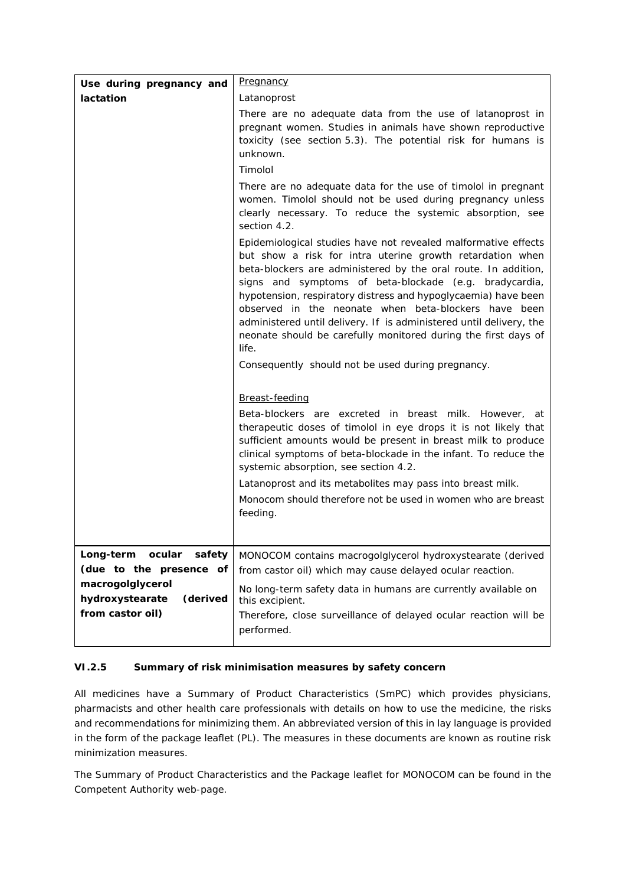| Use during pregnancy and                        | <b>Pregnancy</b>                                                                                                                                                                                                                                                                                                                                                                                                                                                                                                                                                                         |
|-------------------------------------------------|------------------------------------------------------------------------------------------------------------------------------------------------------------------------------------------------------------------------------------------------------------------------------------------------------------------------------------------------------------------------------------------------------------------------------------------------------------------------------------------------------------------------------------------------------------------------------------------|
| lactation                                       | Latanoprost                                                                                                                                                                                                                                                                                                                                                                                                                                                                                                                                                                              |
|                                                 | There are no adequate data from the use of latanoprost in<br>pregnant women. Studies in animals have shown reproductive<br>toxicity (see section 5.3). The potential risk for humans is<br>unknown.<br>Timolol                                                                                                                                                                                                                                                                                                                                                                           |
|                                                 |                                                                                                                                                                                                                                                                                                                                                                                                                                                                                                                                                                                          |
|                                                 | There are no adequate data for the use of timolol in pregnant<br>women. Timolol should not be used during pregnancy unless<br>clearly necessary. To reduce the systemic absorption, see<br>section 4.2.                                                                                                                                                                                                                                                                                                                                                                                  |
|                                                 | Epidemiological studies have not revealed malformative effects<br>but show a risk for intra uterine growth retardation when<br>beta-blockers are administered by the oral route. In addition,<br>signs and symptoms of beta-blockade (e.g. bradycardia,<br>hypotension, respiratory distress and hypoglycaemia) have been<br>observed in the neonate when beta-blockers have been<br>administered until delivery. If is administered until delivery, the<br>neonate should be carefully monitored during the first days of<br>life.<br>Consequently should not be used during pregnancy. |
|                                                 | Breast-feeding<br>Beta-blockers are excreted in breast milk. However, at<br>therapeutic doses of timolol in eye drops it is not likely that<br>sufficient amounts would be present in breast milk to produce<br>clinical symptoms of beta-blockade in the infant. To reduce the<br>systemic absorption, see section 4.2.<br>Latanoprost and its metabolites may pass into breast milk.<br>Monocom should therefore not be used in women who are breast<br>feeding.                                                                                                                       |
| Long-term ocular<br>safety                      | MONOCOM contains macrogolglycerol hydroxystearate (derived                                                                                                                                                                                                                                                                                                                                                                                                                                                                                                                               |
| (due to the presence of                         | from castor oil) which may cause delayed ocular reaction.                                                                                                                                                                                                                                                                                                                                                                                                                                                                                                                                |
| macrogolglycerol<br>hydroxystearate<br>(derived | No long-term safety data in humans are currently available on<br>this excipient.                                                                                                                                                                                                                                                                                                                                                                                                                                                                                                         |
| from castor oil)                                | Therefore, close surveillance of delayed ocular reaction will be<br>performed.                                                                                                                                                                                                                                                                                                                                                                                                                                                                                                           |

# *VI.2.5 Summary of risk minimisation measures by safety concern*

All medicines have a Summary of Product Characteristics (SmPC) which provides physicians, pharmacists and other health care professionals with details on how to use the medicine, the risks and recommendations for minimizing them. An abbreviated version of this in lay language is provided in the form of the package leaflet (PL). The measures in these documents are known as routine risk minimization measures.

The Summary of Product Characteristics and the Package leaflet for MONOCOM can be found in the Competent Authority web-page.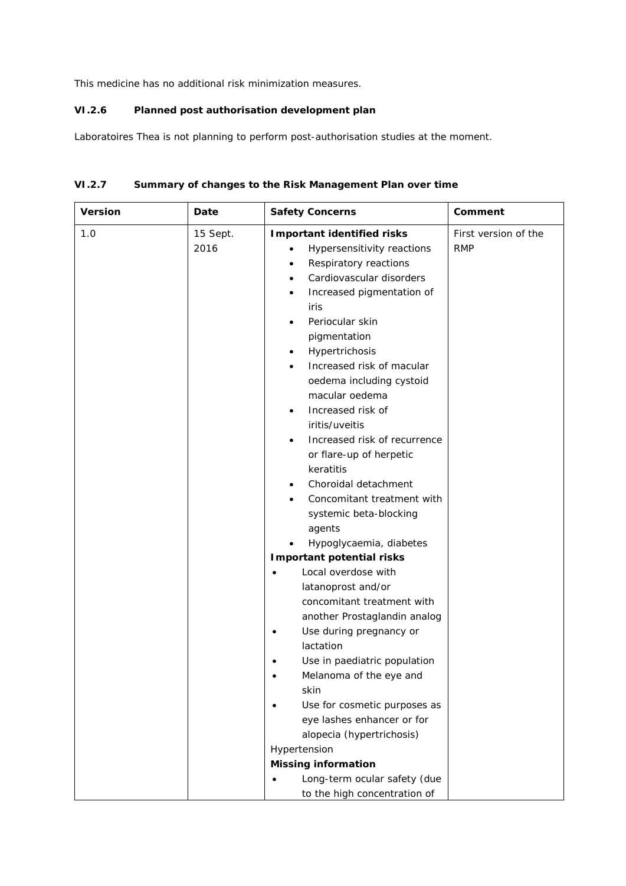This medicine has no additional risk minimization measures.

## *VI.2.6 Planned post authorisation development plan*

Laboratoires Thea is not planning to perform post-authorisation studies at the moment.

| <b>Version</b> | Date             | <b>Safety Concerns</b>                                                                                                                                                                                                                                                                                                                                                                                                                                                                                                                                                                                                                                                                                                                                 | Comment                            |
|----------------|------------------|--------------------------------------------------------------------------------------------------------------------------------------------------------------------------------------------------------------------------------------------------------------------------------------------------------------------------------------------------------------------------------------------------------------------------------------------------------------------------------------------------------------------------------------------------------------------------------------------------------------------------------------------------------------------------------------------------------------------------------------------------------|------------------------------------|
| 1.0            | 15 Sept.<br>2016 | <b>Important identified risks</b><br>Hypersensitivity reactions<br>$\bullet$<br>Respiratory reactions<br>٠<br>Cardiovascular disorders<br>$\bullet$<br>Increased pigmentation of<br>$\bullet$<br>iris<br>Periocular skin<br>٠<br>pigmentation<br>Hypertrichosis<br>٠<br>Increased risk of macular<br>٠<br>oedema including cystoid<br>macular oedema<br>Increased risk of<br>٠<br>iritis/uveitis<br>Increased risk of recurrence<br>٠<br>or flare-up of herpetic<br>keratitis<br>Choroidal detachment<br>٠<br>Concomitant treatment with<br>systemic beta-blocking<br>agents<br>Hypoglycaemia, diabetes<br><b>Important potential risks</b><br>Local overdose with<br>latanoprost and/or<br>concomitant treatment with<br>another Prostaglandin analog | First version of the<br><b>RMP</b> |
|                |                  | Use during pregnancy or<br>٠<br>lactation<br>Use in paediatric population<br>Melanoma of the eye and<br>skin<br>Use for cosmetic purposes as<br>eye lashes enhancer or for<br>alopecia (hypertrichosis)<br>Hypertension<br><b>Missing information</b><br>Long-term ocular safety (due<br>$\bullet$<br>to the high concentration of                                                                                                                                                                                                                                                                                                                                                                                                                     |                                    |

# *VI.2.7 Summary of changes to the Risk Management Plan over time*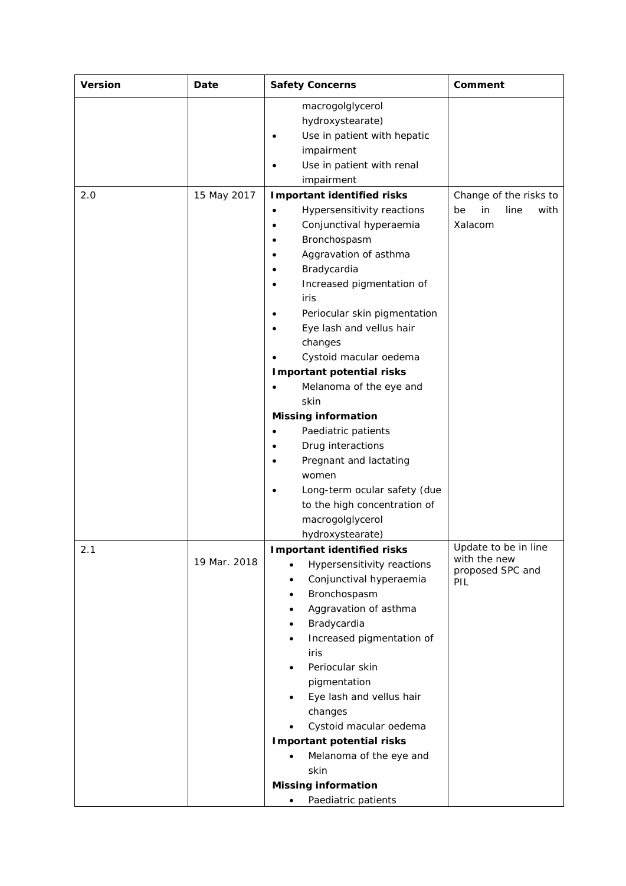| macrogolglycerol<br>hydroxystearate)<br>Use in patient with hepatic<br>٠<br>impairment<br>Use in patient with renal<br>impairment<br>15 May 2017<br>2.0<br><b>Important identified risks</b><br>Change of the risks to<br>Hypersensitivity reactions<br>in<br>line<br>be<br>٠<br>Xalacom<br>Conjunctival hyperaemia<br>Bronchospasm<br>٠<br>Aggravation of asthma<br>Bradycardia<br>Increased pigmentation of<br>iris<br>Periocular skin pigmentation<br>٠<br>Eye lash and vellus hair<br>changes<br>Cystoid macular oedema<br><b>Important potential risks</b><br>Melanoma of the eye and<br>skin<br><b>Missing information</b><br>Paediatric patients<br>٠<br>Drug interactions<br>Pregnant and lactating<br>$\bullet$ | <b>Safety Concerns</b> |  | Comment |      |
|--------------------------------------------------------------------------------------------------------------------------------------------------------------------------------------------------------------------------------------------------------------------------------------------------------------------------------------------------------------------------------------------------------------------------------------------------------------------------------------------------------------------------------------------------------------------------------------------------------------------------------------------------------------------------------------------------------------------------|------------------------|--|---------|------|
|                                                                                                                                                                                                                                                                                                                                                                                                                                                                                                                                                                                                                                                                                                                          |                        |  |         |      |
|                                                                                                                                                                                                                                                                                                                                                                                                                                                                                                                                                                                                                                                                                                                          |                        |  |         | with |
| women<br>Long-term ocular safety (due<br>to the high concentration of<br>macrogolglycerol<br>hydroxystearate)                                                                                                                                                                                                                                                                                                                                                                                                                                                                                                                                                                                                            |                        |  |         |      |
| <b>Important identified risks</b><br>Update to be in line<br>2.1<br>with the new<br>19 Mar. 2018<br>Hypersensitivity reactions<br>proposed SPC and<br>Conjunctival hyperaemia<br>PIL<br>Bronchospasm<br>٠<br>Aggravation of asthma<br>$\bullet$<br>Bradycardia<br>٠<br>Increased pigmentation of<br>$\bullet$<br>iris<br>Periocular skin<br>٠<br>pigmentation<br>Eye lash and vellus hair<br>$\bullet$<br>changes<br>Cystoid macular oedema<br>٠<br><b>Important potential risks</b><br>Melanoma of the eye and<br>skin<br><b>Missing information</b><br>Paediatric patients                                                                                                                                             |                        |  |         |      |